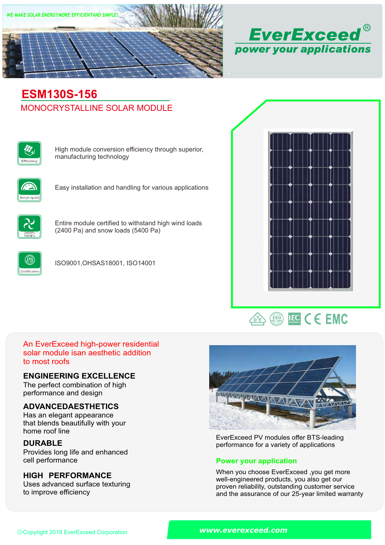



# MONOCRYSTALLINE SOLAR MODULE **ESM130S-156**



High module conversion efficiency through superior, manufacturing technology



Easy installation and handling for various applications



Entire module certified to withstand high wind loads (2400 Pa) and snow loads (5400 Pa)



ISO9001,OHSAS18001, ISO14001





## An EverExceed high-power residential solar module isan aesthetic addition to most roofs

### **ENGINEERING EXCELLENCE**

The perfect combination of high performance and design

## **ADVANCEDAESTHETICS**

Has an elegant appearance that blends beautifully with your home roof line

## **DURABLE**

Provides long life and enhanced<br>cell performance

## **HIGH PERFORMANCE**

Uses advanced surface texturing to improve efficiency



EverExceed PV modules offer BTS-leading performance for a variety of applications

### **Power your application**

When you choose EverExceed ,you get more well-engineered products, you also get our proven reliability, outstanding customer service and the assurance of our 25-year limited warranty